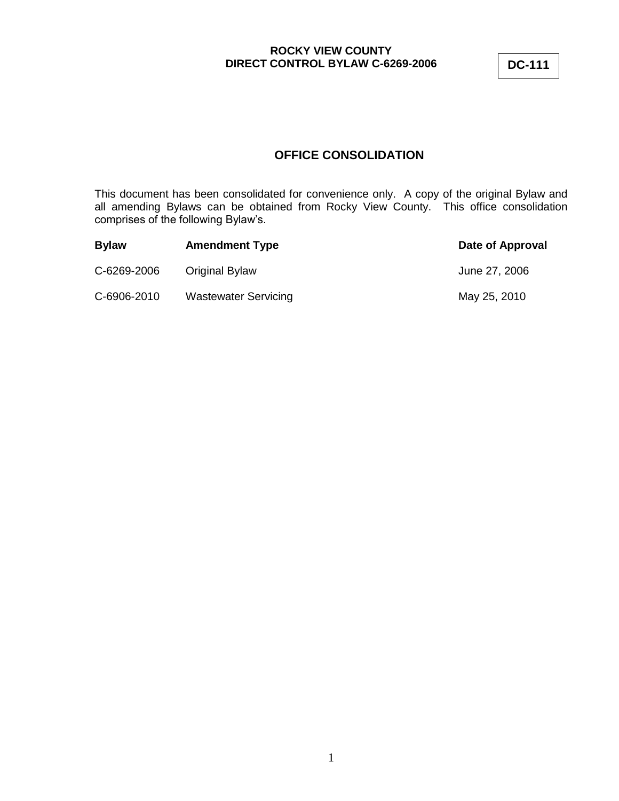**DC-111**

# **OFFICE CONSOLIDATION**

This document has been consolidated for convenience only. A copy of the original Bylaw and all amending Bylaws can be obtained from Rocky View County. This office consolidation comprises of the following Bylaw"s.

| <b>Bylaw</b> | <b>Amendment Type</b>       | Date of Approval |
|--------------|-----------------------------|------------------|
| C-6269-2006  | Original Bylaw              | June 27, 2006    |
| C-6906-2010  | <b>Wastewater Servicing</b> | May 25, 2010     |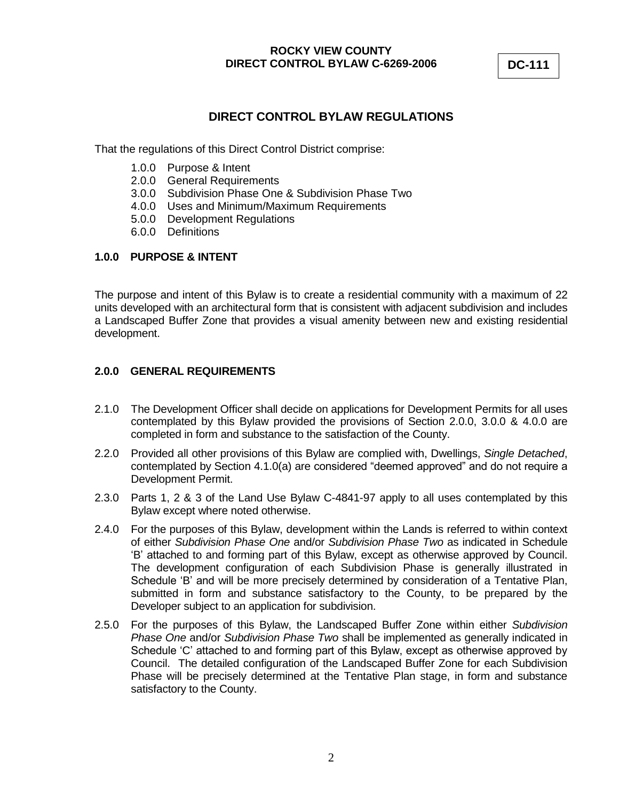**DC-111**

# **DIRECT CONTROL BYLAW REGULATIONS**

That the regulations of this Direct Control District comprise:

- 1.0.0 Purpose & Intent
- 2.0.0 General Requirements
- 3.0.0 Subdivision Phase One & Subdivision Phase Two
- 4.0.0 Uses and Minimum/Maximum Requirements
- 5.0.0 Development Regulations
- 6.0.0 Definitions

# **1.0.0 PURPOSE & INTENT**

The purpose and intent of this Bylaw is to create a residential community with a maximum of 22 units developed with an architectural form that is consistent with adjacent subdivision and includes a Landscaped Buffer Zone that provides a visual amenity between new and existing residential development.

# **2.0.0 GENERAL REQUIREMENTS**

- 2.1.0 The Development Officer shall decide on applications for Development Permits for all uses contemplated by this Bylaw provided the provisions of Section 2.0.0, 3.0.0 & 4.0.0 are completed in form and substance to the satisfaction of the County.
- 2.2.0 Provided all other provisions of this Bylaw are complied with, Dwellings, *Single Detached*, contemplated by Section 4.1.0(a) are considered "deemed approved" and do not require a Development Permit.
- 2.3.0 Parts 1, 2 & 3 of the Land Use Bylaw C-4841-97 apply to all uses contemplated by this Bylaw except where noted otherwise.
- 2.4.0 For the purposes of this Bylaw, development within the Lands is referred to within context of either *Subdivision Phase One* and/or *Subdivision Phase Two* as indicated in Schedule "B" attached to and forming part of this Bylaw, except as otherwise approved by Council. The development configuration of each Subdivision Phase is generally illustrated in Schedule "B" and will be more precisely determined by consideration of a Tentative Plan, submitted in form and substance satisfactory to the County, to be prepared by the Developer subject to an application for subdivision.
- 2.5.0 For the purposes of this Bylaw, the Landscaped Buffer Zone within either *Subdivision Phase One* and/or *Subdivision Phase Two* shall be implemented as generally indicated in Schedule 'C' attached to and forming part of this Bylaw, except as otherwise approved by Council. The detailed configuration of the Landscaped Buffer Zone for each Subdivision Phase will be precisely determined at the Tentative Plan stage, in form and substance satisfactory to the County.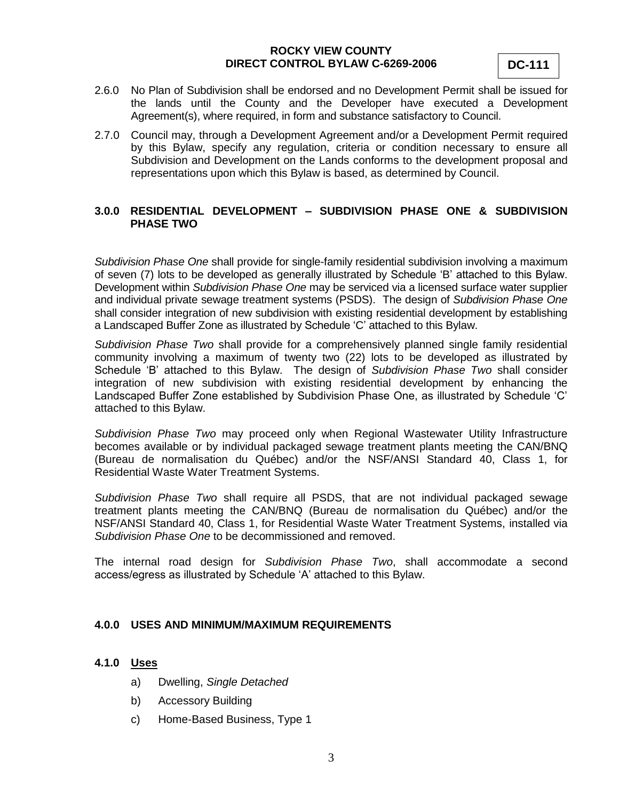**DC-111**

- 2.6.0 No Plan of Subdivision shall be endorsed and no Development Permit shall be issued for the lands until the County and the Developer have executed a Development Agreement(s), where required, in form and substance satisfactory to Council.
- 2.7.0 Council may, through a Development Agreement and/or a Development Permit required by this Bylaw, specify any regulation, criteria or condition necessary to ensure all Subdivision and Development on the Lands conforms to the development proposal and representations upon which this Bylaw is based, as determined by Council.

# **3.0.0 RESIDENTIAL DEVELOPMENT – SUBDIVISION PHASE ONE & SUBDIVISION PHASE TWO**

*Subdivision Phase One* shall provide for single-family residential subdivision involving a maximum of seven (7) lots to be developed as generally illustrated by Schedule "B" attached to this Bylaw. Development within *Subdivision Phase One* may be serviced via a licensed surface water supplier and individual private sewage treatment systems (PSDS). The design of *Subdivision Phase One* shall consider integration of new subdivision with existing residential development by establishing a Landscaped Buffer Zone as illustrated by Schedule "C" attached to this Bylaw.

*Subdivision Phase Two* shall provide for a comprehensively planned single family residential community involving a maximum of twenty two (22) lots to be developed as illustrated by Schedule "B" attached to this Bylaw. The design of *Subdivision Phase Two* shall consider integration of new subdivision with existing residential development by enhancing the Landscaped Buffer Zone established by Subdivision Phase One, as illustrated by Schedule "C" attached to this Bylaw.

*Subdivision Phase Two* may proceed only when Regional Wastewater Utility Infrastructure becomes available or by individual packaged sewage treatment plants meeting the CAN/BNQ (Bureau de normalisation du Québec) and/or the NSF/ANSI Standard 40, Class 1, for Residential Waste Water Treatment Systems.

*Subdivision Phase Two* shall require all PSDS, that are not individual packaged sewage treatment plants meeting the CAN/BNQ (Bureau de normalisation du Québec) and/or the NSF/ANSI Standard 40, Class 1, for Residential Waste Water Treatment Systems, installed via *Subdivision Phase One* to be decommissioned and removed.

The internal road design for *Subdivision Phase Two*, shall accommodate a second access/egress as illustrated by Schedule "A" attached to this Bylaw.

# **4.0.0 USES AND MINIMUM/MAXIMUM REQUIREMENTS**

#### **4.1.0 Uses**

- a) Dwelling, *Single Detached*
- b) Accessory Building
- c) Home-Based Business, Type 1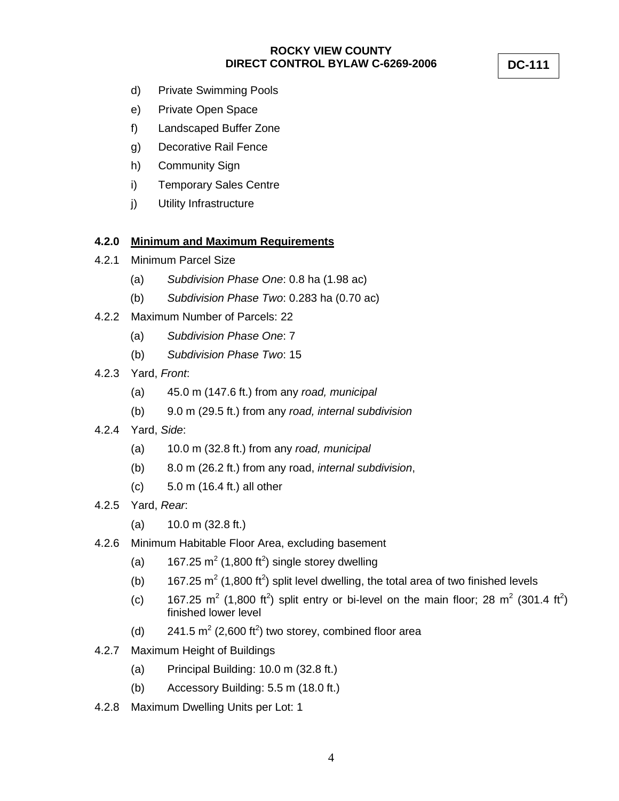d) Private Swimming Pools

- e) Private Open Space
- f) Landscaped Buffer Zone
- g) Decorative Rail Fence
- h) Community Sign
- i) Temporary Sales Centre
- j) Utility Infrastructure

### **4.2.0 Minimum and Maximum Requirements**

- 4.2.1 Minimum Parcel Size
	- (a) *Subdivision Phase One*: 0.8 ha (1.98 ac)
	- (b) *Subdivision Phase Two*: 0.283 ha (0.70 ac)
- 4.2.2 Maximum Number of Parcels: 22
	- (a) *Subdivision Phase One*: 7
	- (b) *Subdivision Phase Two*: 15
- 4.2.3 Yard, *Front*:
	- (a) 45.0 m (147.6 ft.) from any *road, municipal*
	- (b) 9.0 m (29.5 ft.) from any *road, internal subdivision*
- 4.2.4 Yard, *Side*:
	- (a) 10.0 m (32.8 ft.) from any *road, municipal*
	- (b) 8.0 m (26.2 ft.) from any road, *internal subdivision*,
	- (c) 5.0 m (16.4 ft.) all other
- 4.2.5 Yard, *Rear*:
	- (a) 10.0 m (32.8 ft.)
- 4.2.6 Minimum Habitable Floor Area, excluding basement
	- (a)  $167.25 \text{ m}^2 (1,800 \text{ ft}^2)$  single storey dwelling
	- (b) 167.25  $m^2$  (1,800 ft<sup>2</sup>) split level dwelling, the total area of two finished levels
	- (c) 167.25 m<sup>2</sup> (1,800 ft<sup>2</sup>) split entry or bi-level on the main floor; 28 m<sup>2</sup> (301.4 ft<sup>2</sup>) finished lower level
	- (d)  $241.5 \text{ m}^2 (2,600 \text{ ft}^2)$  two storey, combined floor area
- 4.2.7 Maximum Height of Buildings
	- (a) Principal Building: 10.0 m (32.8 ft.)
	- (b) Accessory Building: 5.5 m (18.0 ft.)
- 4.2.8 Maximum Dwelling Units per Lot: 1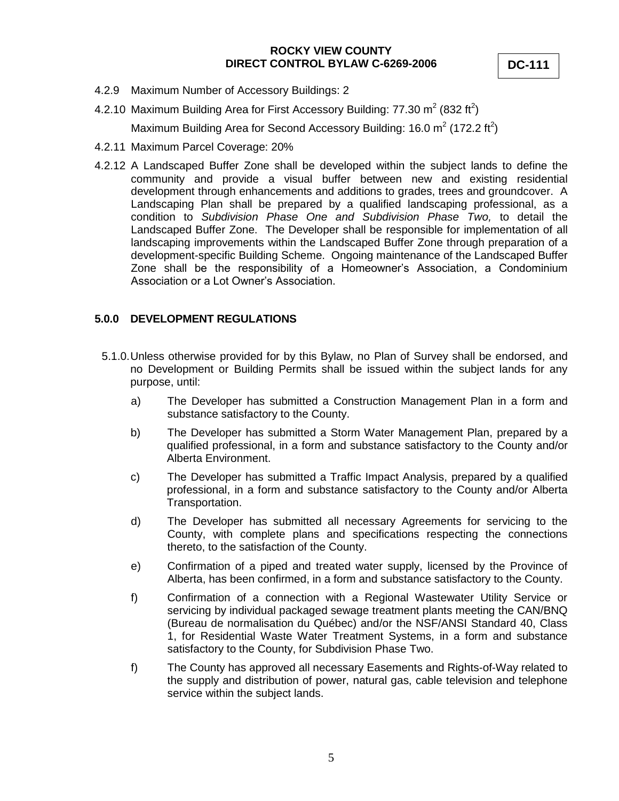**DC-111**

- 4.2.9 Maximum Number of Accessory Buildings: 2
- 4.2.10 Maximum Building Area for First Accessory Building: 77.30 m<sup>2</sup> (832 ft<sup>2</sup>)

Maximum Building Area for Second Accessory Building: 16.0 m<sup>2</sup> (172.2 ft<sup>2</sup>)

- 4.2.11 Maximum Parcel Coverage: 20%
- 4.2.12 A Landscaped Buffer Zone shall be developed within the subject lands to define the community and provide a visual buffer between new and existing residential development through enhancements and additions to grades, trees and groundcover. A Landscaping Plan shall be prepared by a qualified landscaping professional, as a condition to *Subdivision Phase One and Subdivision Phase Two,* to detail the Landscaped Buffer Zone. The Developer shall be responsible for implementation of all landscaping improvements within the Landscaped Buffer Zone through preparation of a development-specific Building Scheme. Ongoing maintenance of the Landscaped Buffer Zone shall be the responsibility of a Homeowner"s Association, a Condominium Association or a Lot Owner"s Association.

#### **5.0.0 DEVELOPMENT REGULATIONS**

- 5.1.0.Unless otherwise provided for by this Bylaw, no Plan of Survey shall be endorsed, and no Development or Building Permits shall be issued within the subject lands for any purpose, until:
	- a) The Developer has submitted a Construction Management Plan in a form and substance satisfactory to the County.
	- b) The Developer has submitted a Storm Water Management Plan, prepared by a qualified professional, in a form and substance satisfactory to the County and/or Alberta Environment.
	- c) The Developer has submitted a Traffic Impact Analysis, prepared by a qualified professional, in a form and substance satisfactory to the County and/or Alberta Transportation.
	- d) The Developer has submitted all necessary Agreements for servicing to the County, with complete plans and specifications respecting the connections thereto, to the satisfaction of the County.
	- e) Confirmation of a piped and treated water supply, licensed by the Province of Alberta, has been confirmed, in a form and substance satisfactory to the County.
	- f) Confirmation of a connection with a Regional Wastewater Utility Service or servicing by individual packaged sewage treatment plants meeting the CAN/BNQ (Bureau de normalisation du Québec) and/or the NSF/ANSI Standard 40, Class 1, for Residential Waste Water Treatment Systems, in a form and substance satisfactory to the County, for Subdivision Phase Two.
	- f) The County has approved all necessary Easements and Rights-of-Way related to the supply and distribution of power, natural gas, cable television and telephone service within the subject lands.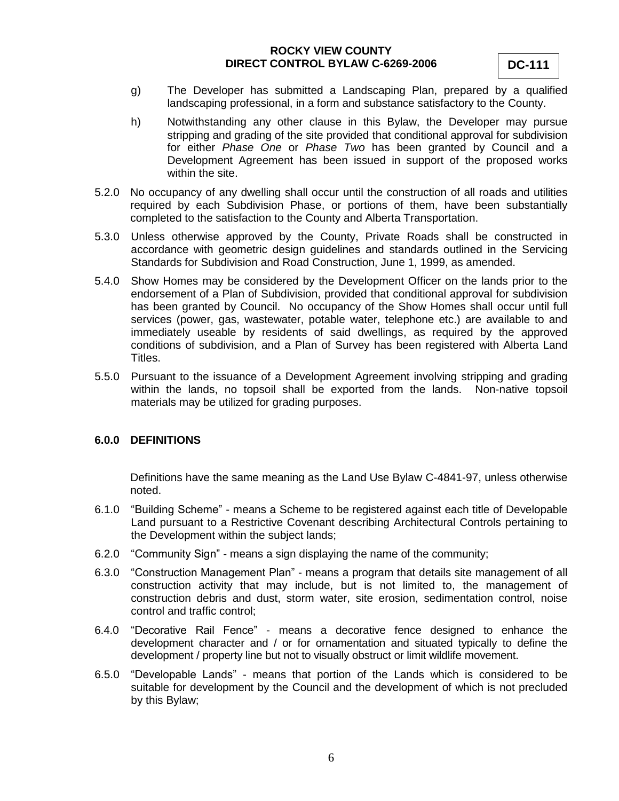**DC-111**

- g) The Developer has submitted a Landscaping Plan, prepared by a qualified landscaping professional, in a form and substance satisfactory to the County.
- h) Notwithstanding any other clause in this Bylaw, the Developer may pursue stripping and grading of the site provided that conditional approval for subdivision for either *Phase One* or *Phase Two* has been granted by Council and a Development Agreement has been issued in support of the proposed works within the site.
- 5.2.0 No occupancy of any dwelling shall occur until the construction of all roads and utilities required by each Subdivision Phase, or portions of them, have been substantially completed to the satisfaction to the County and Alberta Transportation.
- 5.3.0 Unless otherwise approved by the County, Private Roads shall be constructed in accordance with geometric design guidelines and standards outlined in the Servicing Standards for Subdivision and Road Construction, June 1, 1999, as amended.
- 5.4.0 Show Homes may be considered by the Development Officer on the lands prior to the endorsement of a Plan of Subdivision, provided that conditional approval for subdivision has been granted by Council. No occupancy of the Show Homes shall occur until full services (power, gas, wastewater, potable water, telephone etc.) are available to and immediately useable by residents of said dwellings, as required by the approved conditions of subdivision, and a Plan of Survey has been registered with Alberta Land Titles.
- 5.5.0 Pursuant to the issuance of a Development Agreement involving stripping and grading within the lands, no topsoil shall be exported from the lands. Non-native topsoil materials may be utilized for grading purposes.

### **6.0.0 DEFINITIONS**

Definitions have the same meaning as the Land Use Bylaw C-4841-97, unless otherwise noted.

- 6.1.0 "Building Scheme" means a Scheme to be registered against each title of Developable Land pursuant to a Restrictive Covenant describing Architectural Controls pertaining to the Development within the subject lands;
- 6.2.0 "Community Sign" means a sign displaying the name of the community;
- 6.3.0 "Construction Management Plan" means a program that details site management of all construction activity that may include, but is not limited to, the management of construction debris and dust, storm water, site erosion, sedimentation control, noise control and traffic control;
- 6.4.0 "Decorative Rail Fence" means a decorative fence designed to enhance the development character and / or for ornamentation and situated typically to define the development / property line but not to visually obstruct or limit wildlife movement.
- 6.5.0 "Developable Lands" means that portion of the Lands which is considered to be suitable for development by the Council and the development of which is not precluded by this Bylaw;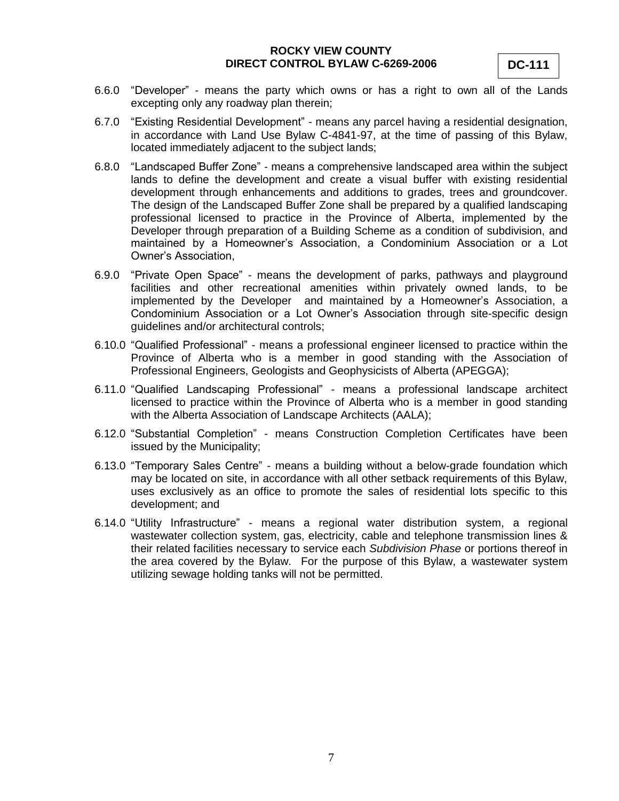- 6.6.0 "Developer" means the party which owns or has a right to own all of the Lands excepting only any roadway plan therein;
- 6.7.0 "Existing Residential Development" means any parcel having a residential designation, in accordance with Land Use Bylaw C-4841-97, at the time of passing of this Bylaw, located immediately adjacent to the subject lands;
- 6.8.0 "Landscaped Buffer Zone" means a comprehensive landscaped area within the subject lands to define the development and create a visual buffer with existing residential development through enhancements and additions to grades, trees and groundcover. The design of the Landscaped Buffer Zone shall be prepared by a qualified landscaping professional licensed to practice in the Province of Alberta, implemented by the Developer through preparation of a Building Scheme as a condition of subdivision, and maintained by a Homeowner"s Association, a Condominium Association or a Lot Owner"s Association,
- 6.9.0 "Private Open Space" means the development of parks, pathways and playground facilities and other recreational amenities within privately owned lands, to be implemented by the Developer and maintained by a Homeowner's Association, a Condominium Association or a Lot Owner"s Association through site-specific design guidelines and/or architectural controls;
- 6.10.0 "Qualified Professional" means a professional engineer licensed to practice within the Province of Alberta who is a member in good standing with the Association of Professional Engineers, Geologists and Geophysicists of Alberta (APEGGA);
- 6.11.0 "Qualified Landscaping Professional" means a professional landscape architect licensed to practice within the Province of Alberta who is a member in good standing with the Alberta Association of Landscape Architects (AALA);
- 6.12.0 "Substantial Completion" means Construction Completion Certificates have been issued by the Municipality;
- 6.13.0 "Temporary Sales Centre" means a building without a below-grade foundation which may be located on site, in accordance with all other setback requirements of this Bylaw, uses exclusively as an office to promote the sales of residential lots specific to this development; and
- 6.14.0 "Utility Infrastructure" means a regional water distribution system, a regional wastewater collection system, gas, electricity, cable and telephone transmission lines & their related facilities necessary to service each *Subdivision Phase* or portions thereof in the area covered by the Bylaw. For the purpose of this Bylaw, a wastewater system utilizing sewage holding tanks will not be permitted.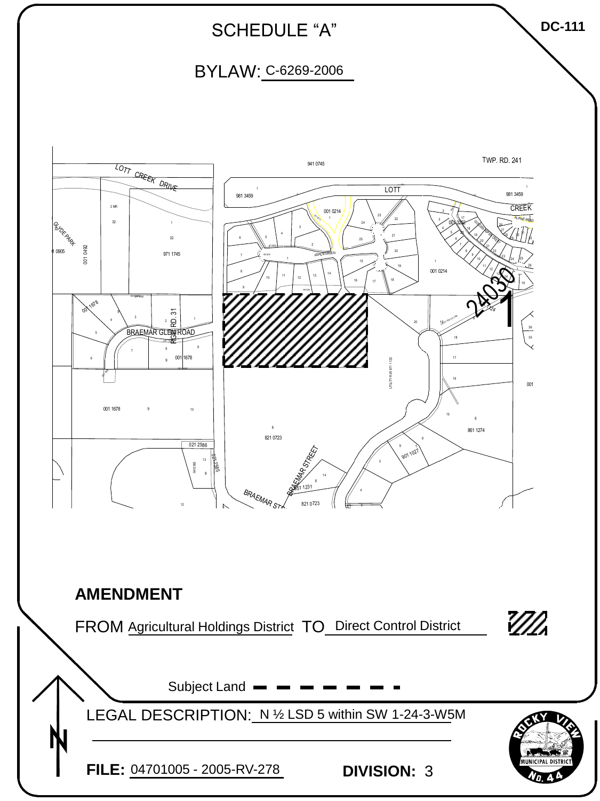

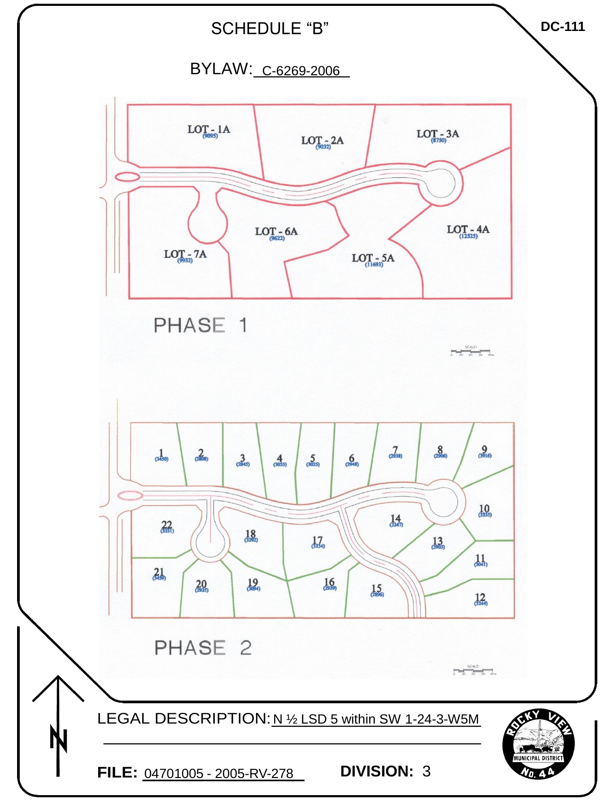